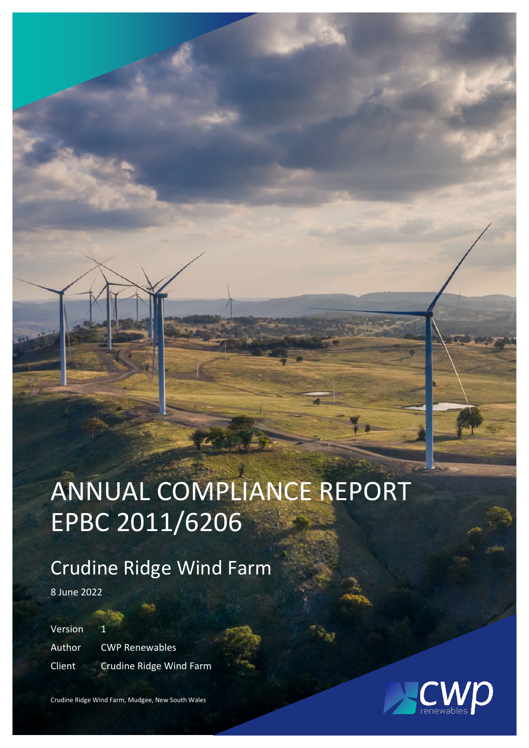# ANNUAL COMPLIANCE REPORT EPBC 2011/6206

## Crudine Ridge Wind Farm

8 June 2022

Version Author CWP Renewables Client Crudine Ridge Wind Farm



Crudine Ridge Wind Farm, Mudgee, New South Wales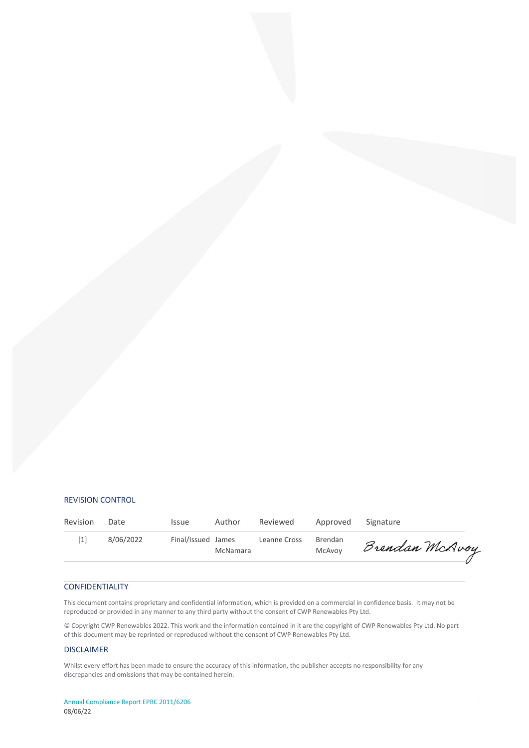#### REVISION CONTROL

| Revision | Date      | <b>Issue</b>       | Author   | Reviewed     | Approved Signature |                |
|----------|-----------|--------------------|----------|--------------|--------------------|----------------|
| [1]      | 8/06/2022 | Final/Issued James | McNamara | Leanne Cross | Brendan<br>McAvoy  | Brendan McAvoy |

#### CONFIDENTIALITY

This document contains proprietary and confidential information, which is provided on a commercial in confidence basis. It may not be reproduced or provided in any manner to any third party without the consent of CWP Renewables Pty Ltd.

© Copyright CWP Renewables 2022. This work and the information contained in it are the copyright of CWP Renewables Pty Ltd. No part of this document may be reprinted or reproduced without the consent of CWP Renewables Pty Ltd.

#### DISCLAIMER

Whilst every effort has been made to ensure the accuracy of this information, the publisher accepts no responsibility for any discrepancies and omissions that may be contained herein.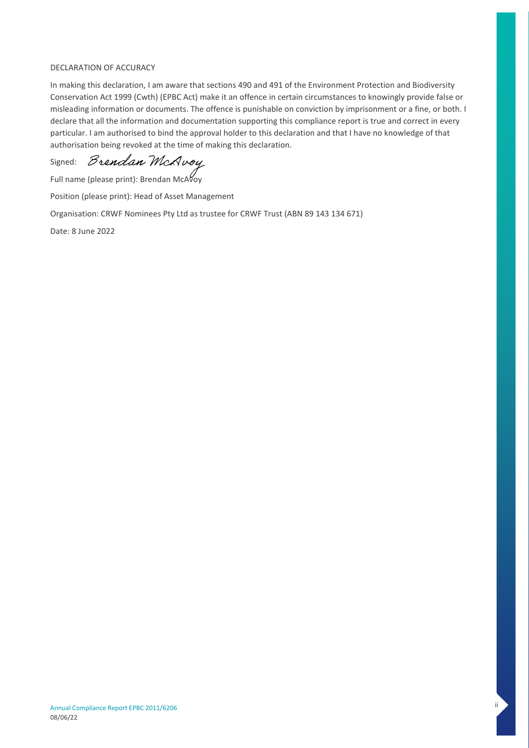#### DECLARATION OF ACCURACY

In making this declaration, I am aware that sections 490 and 491 of the Environment Protection and Biodiversity Conservation Act 1999 (Cwth) (EPBC Act) make it an offence in certain circumstances to knowingly provide false or misleading information or documents. The offence is punishable on conviction by imprisonment or a fine, or both. I declare that all the information and documentation supporting this compliance report is true and correct in every particular. I am authorised to bind the approval holder to this declaration and that I have no knowledge of that authorisation being revoked at the time of making this declaration.

Signed: *Brendan McAvoy* 

Full name (please print): Brendan McAvoy

Position (please print): Head of Asset Management

Organisation: CRWF Nominees Pty Ltd as trustee for CRWF Trust (ABN 89 143 134 671)

Date: 8 June 2022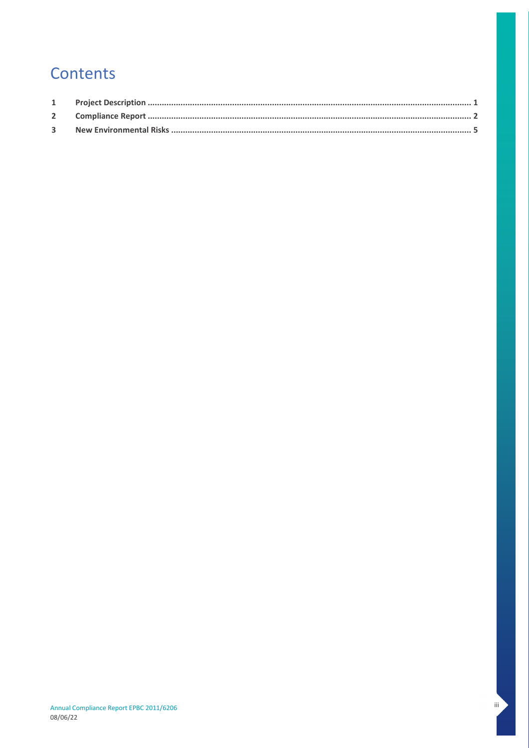### Contents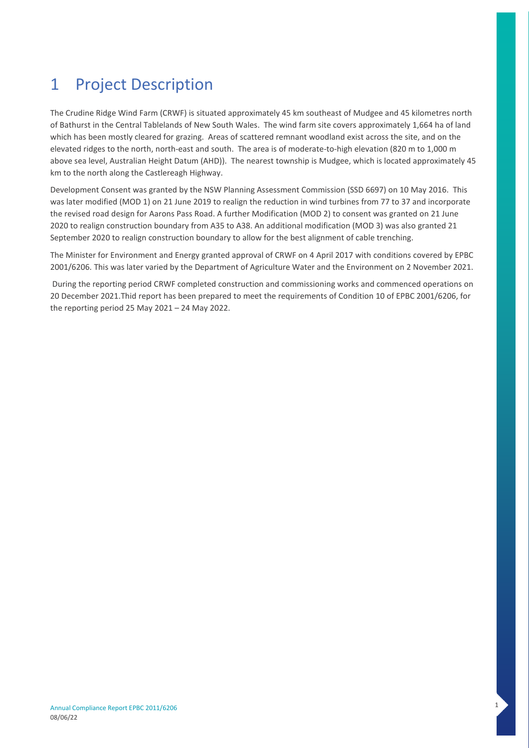### <span id="page-4-0"></span>1 Project Description

The Crudine Ridge Wind Farm (CRWF) is situated approximately 45 km southeast of Mudgee and 45 kilometres north of Bathurst in the Central Tablelands of New South Wales. The wind farm site covers approximately 1,664 ha of land which has been mostly cleared for grazing. Areas of scattered remnant woodland exist across the site, and on the elevated ridges to the north, north-east and south. The area is of moderate-to-high elevation (820 m to 1,000 m above sea level, Australian Height Datum (AHD)). The nearest township is Mudgee, which is located approximately 45 km to the north along the Castlereagh Highway.

Development Consent was granted by the NSW Planning Assessment Commission (SSD 6697) on 10 May 2016. This was later modified (MOD 1) on 21 June 2019 to realign the reduction in wind turbines from 77 to 37 and incorporate the revised road design for Aarons Pass Road. A further Modification (MOD 2) to consent was granted on 21 June 2020 to realign construction boundary from A35 to A38. An additional modification (MOD 3) was also granted 21 September 2020 to realign construction boundary to allow for the best alignment of cable trenching.

The Minister for Environment and Energy granted approval of CRWF on 4 April 2017 with conditions covered by EPBC 2001/6206. This was later varied by the Department of Agriculture Water and the Environment on 2 November 2021.

During the reporting period CRWF completed construction and commissioning works and commenced operations on 20 December 2021.Thid report has been prepared to meet the requirements of Condition 10 of EPBC 2001/6206, for the reporting period 25 May 2021 – 24 May 2022.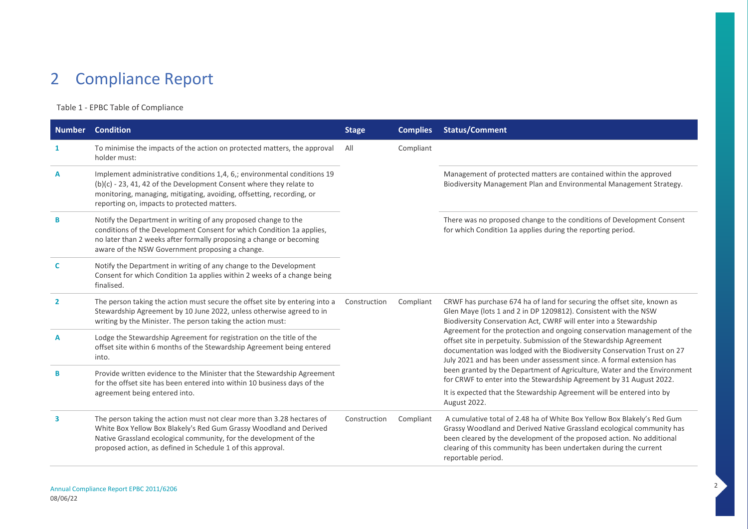### 2 Compliance Report

### Table 1 - EPBC Table of Compliance

<span id="page-5-0"></span>

| <b>Number</b>  | <b>Condition</b>                                                                                                                                                                                                                                                                 | <b>Stage</b> | <b>Complies</b> | <b>Status/Comment</b>                                                                                                                                                                                                                                                                                                |
|----------------|----------------------------------------------------------------------------------------------------------------------------------------------------------------------------------------------------------------------------------------------------------------------------------|--------------|-----------------|----------------------------------------------------------------------------------------------------------------------------------------------------------------------------------------------------------------------------------------------------------------------------------------------------------------------|
| 1              | To minimise the impacts of the action on protected matters, the approval<br>holder must:                                                                                                                                                                                         | All          | Compliant       |                                                                                                                                                                                                                                                                                                                      |
| A              | Implement administrative conditions 1,4, 6,; environmental conditions 19<br>$(b)(c)$ - 23, 41, 42 of the Development Consent where they relate to<br>monitoring, managing, mitigating, avoiding, offsetting, recording, or<br>reporting on, impacts to protected matters.        |              |                 | Management of protected matters are contained within the approved<br>Biodiversity Management Plan and Environmental Management Strategy.                                                                                                                                                                             |
| B              | Notify the Department in writing of any proposed change to the<br>conditions of the Development Consent for which Condition 1a applies,<br>no later than 2 weeks after formally proposing a change or becoming<br>aware of the NSW Government proposing a change.                |              |                 | There was no proposed change to the conditions of Development Consent<br>for which Condition 1a applies during the reporting period.                                                                                                                                                                                 |
| C              | Notify the Department in writing of any change to the Development<br>Consent for which Condition 1a applies within 2 weeks of a change being<br>finalised.                                                                                                                       |              |                 |                                                                                                                                                                                                                                                                                                                      |
| $\overline{2}$ | The person taking the action must secure the offset site by entering into a<br>Stewardship Agreement by 10 June 2022, unless otherwise agreed to in<br>writing by the Minister. The person taking the action must:                                                               | Construction | Compliant       | CRWF has purchase 674 ha of land for securing the offset site, known as<br>Glen Maye (lots 1 and 2 in DP 1209812). Consistent with the NSW<br>Biodiversity Conservation Act, CWRF will enter into a Stewardship                                                                                                      |
| A              | Lodge the Stewardship Agreement for registration on the title of the<br>offset site within 6 months of the Stewardship Agreement being entered<br>into.                                                                                                                          |              |                 | Agreement for the protection and ongoing conservation management of the<br>offset site in perpetuity. Submission of the Stewardship Agreement<br>documentation was lodged with the Biodiversity Conservation Trust on 27<br>July 2021 and has been under assessment since. A formal extension has                    |
| B              | Provide written evidence to the Minister that the Stewardship Agreement<br>for the offset site has been entered into within 10 business days of the                                                                                                                              |              |                 | been granted by the Department of Agriculture, Water and the Environment<br>for CRWF to enter into the Stewardship Agreement by 31 August 2022.                                                                                                                                                                      |
|                | agreement being entered into.                                                                                                                                                                                                                                                    |              |                 | It is expected that the Stewardship Agreement will be entered into by<br>August 2022.                                                                                                                                                                                                                                |
| 3              | The person taking the action must not clear more than 3.28 hectares of<br>White Box Yellow Box Blakely's Red Gum Grassy Woodland and Derived<br>Native Grassland ecological community, for the development of the<br>proposed action, as defined in Schedule 1 of this approval. | Construction | Compliant       | A cumulative total of 2.48 ha of White Box Yellow Box Blakely's Red Gum<br>Grassy Woodland and Derived Native Grassland ecological community has<br>been cleared by the development of the proposed action. No additional<br>clearing of this community has been undertaken during the current<br>reportable period. |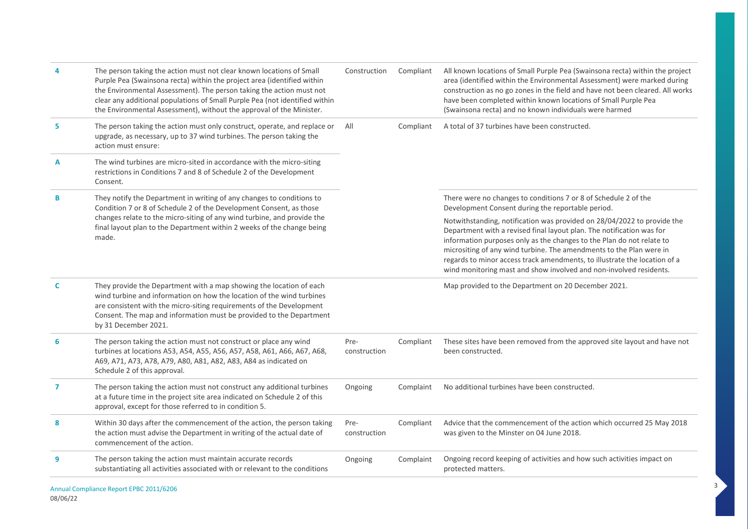| 4 | The person taking the action must not clear known locations of Small<br>Purple Pea (Swainsona recta) within the project area (identified within<br>the Environmental Assessment). The person taking the action must not<br>clear any additional populations of Small Purple Pea (not identified within<br>the Environmental Assessment), without the approval of the Minister. | Construction         | Compliant | All known locations of Small Purple Pea (Swainsona recta) within the project<br>area (identified within the Environmental Assessment) were marked during<br>construction as no go zones in the field and have not been cleared. All works<br>have been completed within known locations of Small Purple Pea<br>(Swainsona recta) and no known individuals were harmed                                                                               |
|---|--------------------------------------------------------------------------------------------------------------------------------------------------------------------------------------------------------------------------------------------------------------------------------------------------------------------------------------------------------------------------------|----------------------|-----------|-----------------------------------------------------------------------------------------------------------------------------------------------------------------------------------------------------------------------------------------------------------------------------------------------------------------------------------------------------------------------------------------------------------------------------------------------------|
| 5 | The person taking the action must only construct, operate, and replace or<br>upgrade, as necessary, up to 37 wind turbines. The person taking the<br>action must ensure:                                                                                                                                                                                                       |                      | Compliant | A total of 37 turbines have been constructed.                                                                                                                                                                                                                                                                                                                                                                                                       |
| A | The wind turbines are micro-sited in accordance with the micro-siting<br>restrictions in Conditions 7 and 8 of Schedule 2 of the Development<br>Consent.                                                                                                                                                                                                                       |                      |           |                                                                                                                                                                                                                                                                                                                                                                                                                                                     |
| B | They notify the Department in writing of any changes to conditions to<br>Condition 7 or 8 of Schedule 2 of the Development Consent, as those                                                                                                                                                                                                                                   |                      |           | There were no changes to conditions 7 or 8 of Schedule 2 of the<br>Development Consent during the reportable period.                                                                                                                                                                                                                                                                                                                                |
|   | changes relate to the micro-siting of any wind turbine, and provide the<br>final layout plan to the Department within 2 weeks of the change being<br>made.                                                                                                                                                                                                                     |                      |           | Notwithstanding, notification was provided on 28/04/2022 to provide the<br>Department with a revised final layout plan. The notification was for<br>information purposes only as the changes to the Plan do not relate to<br>micrositing of any wind turbine. The amendments to the Plan were in<br>regards to minor access track amendments, to illustrate the location of a<br>wind monitoring mast and show involved and non-involved residents. |
| C | They provide the Department with a map showing the location of each<br>wind turbine and information on how the location of the wind turbines<br>are consistent with the micro-siting requirements of the Development<br>Consent. The map and information must be provided to the Department<br>by 31 December 2021.                                                            |                      |           | Map provided to the Department on 20 December 2021.                                                                                                                                                                                                                                                                                                                                                                                                 |
| 6 | The person taking the action must not construct or place any wind<br>turbines at locations A53, A54, A55, A56, A57, A58, A61, A66, A67, A68,<br>A69, A71, A73, A78, A79, A80, A81, A82, A83, A84 as indicated on<br>Schedule 2 of this approval.                                                                                                                               | Pre-<br>construction | Compliant | These sites have been removed from the approved site layout and have not<br>been constructed.                                                                                                                                                                                                                                                                                                                                                       |
| 7 | The person taking the action must not construct any additional turbines<br>at a future time in the project site area indicated on Schedule 2 of this<br>approval, except for those referred to in condition 5.                                                                                                                                                                 | Ongoing              | Complaint | No additional turbines have been constructed.                                                                                                                                                                                                                                                                                                                                                                                                       |
| 8 | Within 30 days after the commencement of the action, the person taking<br>the action must advise the Department in writing of the actual date of<br>commencement of the action.                                                                                                                                                                                                | Pre-<br>construction | Compliant | Advice that the commencement of the action which occurred 25 May 2018<br>was given to the Minster on 04 June 2018.                                                                                                                                                                                                                                                                                                                                  |
| 9 | The person taking the action must maintain accurate records<br>substantiating all activities associated with or relevant to the conditions                                                                                                                                                                                                                                     | Ongoing              | Complaint | Ongoing record keeping of activities and how such activities impact on<br>protected matters.                                                                                                                                                                                                                                                                                                                                                        |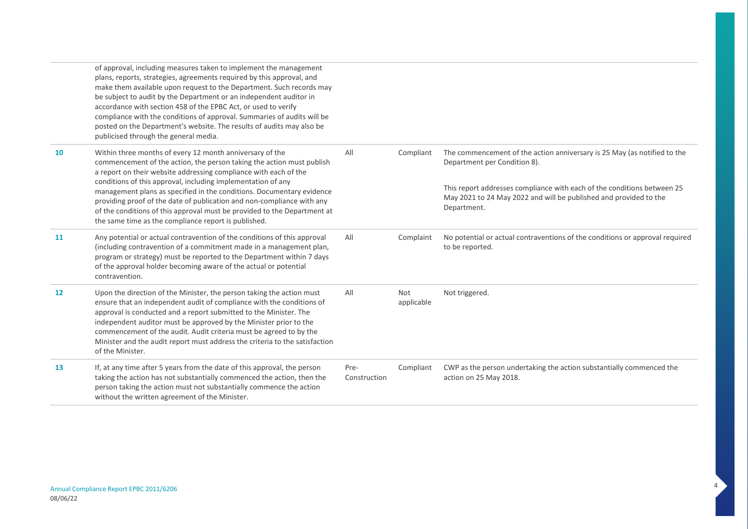|    | of approval, including measures taken to implement the management<br>plans, reports, strategies, agreements required by this approval, and<br>make them available upon request to the Department. Such records may<br>be subject to audit by the Department or an independent auditor in<br>accordance with section 458 of the EPBC Act, or used to verify<br>compliance with the conditions of approval. Summaries of audits will be<br>posted on the Department's website. The results of audits may also be<br>publicised through the general media.      |                      |                   |                                                                                                                                                                                                                                                                         |
|----|--------------------------------------------------------------------------------------------------------------------------------------------------------------------------------------------------------------------------------------------------------------------------------------------------------------------------------------------------------------------------------------------------------------------------------------------------------------------------------------------------------------------------------------------------------------|----------------------|-------------------|-------------------------------------------------------------------------------------------------------------------------------------------------------------------------------------------------------------------------------------------------------------------------|
| 10 | Within three months of every 12 month anniversary of the<br>commencement of the action, the person taking the action must publish<br>a report on their website addressing compliance with each of the<br>conditions of this approval, including implementation of any<br>management plans as specified in the conditions. Documentary evidence<br>providing proof of the date of publication and non-compliance with any<br>of the conditions of this approval must be provided to the Department at<br>the same time as the compliance report is published. | All                  | Compliant         | The commencement of the action anniversary is 25 May (as notified to the<br>Department per Condition 8).<br>This report addresses compliance with each of the conditions between 25<br>May 2021 to 24 May 2022 and will be published and provided to the<br>Department. |
| 11 | Any potential or actual contravention of the conditions of this approval<br>(including contravention of a commitment made in a management plan,<br>program or strategy) must be reported to the Department within 7 days<br>of the approval holder becoming aware of the actual or potential<br>contravention.                                                                                                                                                                                                                                               | All                  | Complaint         | No potential or actual contraventions of the conditions or approval required<br>to be reported.                                                                                                                                                                         |
| 12 | Upon the direction of the Minister, the person taking the action must<br>ensure that an independent audit of compliance with the conditions of<br>approval is conducted and a report submitted to the Minister. The<br>independent auditor must be approved by the Minister prior to the<br>commencement of the audit. Audit criteria must be agreed to by the<br>Minister and the audit report must address the criteria to the satisfaction<br>of the Minister.                                                                                            | All                  | Not<br>applicable | Not triggered.                                                                                                                                                                                                                                                          |
| 13 | If, at any time after 5 years from the date of this approval, the person<br>taking the action has not substantially commenced the action, then the<br>person taking the action must not substantially commence the action<br>without the written agreement of the Minister.                                                                                                                                                                                                                                                                                  | Pre-<br>Construction | Compliant         | CWP as the person undertaking the action substantially commenced the<br>action on 25 May 2018.                                                                                                                                                                          |

4